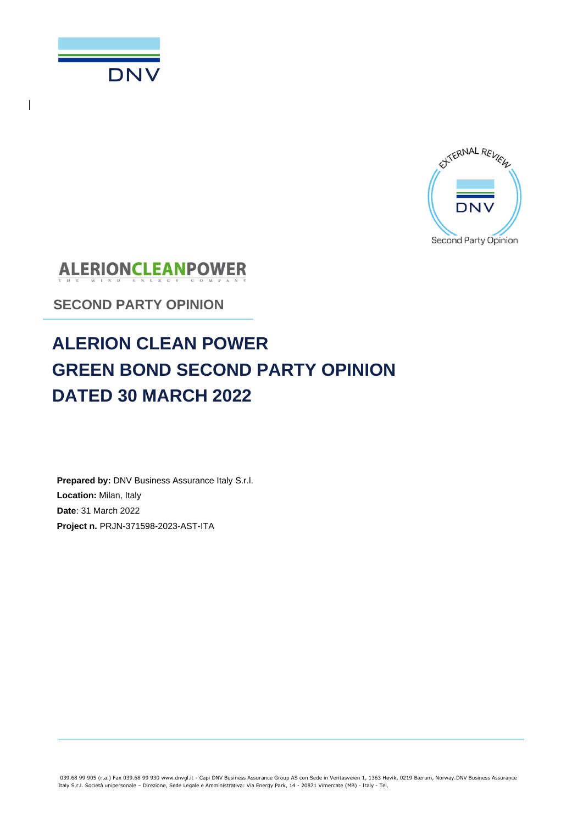



**ALERIONCLEANPOWER** 

**SECOND PARTY OPINION**

# **ALERION CLEAN POWER GREEN BOND SECOND PARTY OPINION DATED 30 MARCH 2022**

**Prepared by:** DNV Business Assurance Italy S.r.l. **Location:** Milan, Italy **Date**: 31 March 2022 **Project n.** PRJN-371598-2023-AST-ITA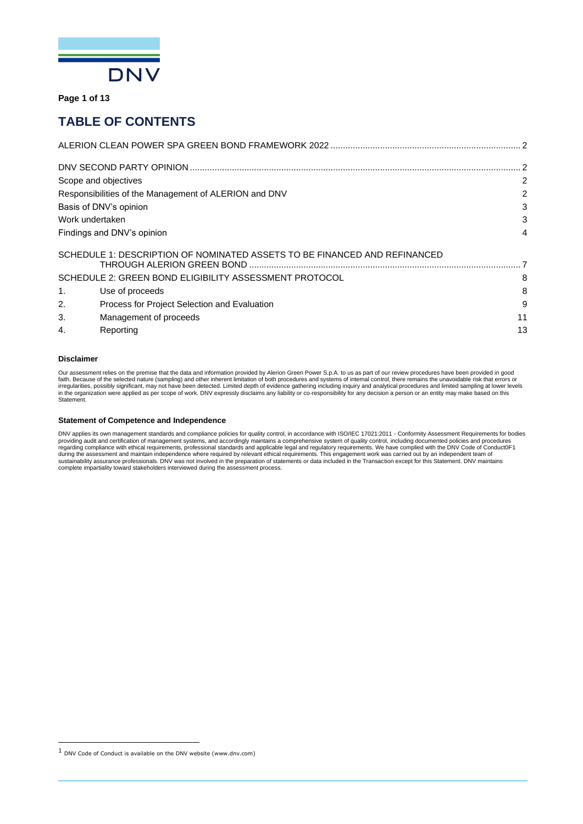

**Page 1 of 13**

## **TABLE OF CONTENTS**

|                |                                                                                                                                            | 2  |
|----------------|--------------------------------------------------------------------------------------------------------------------------------------------|----|
|                | Scope and objectives                                                                                                                       | 2  |
|                | Responsibilities of the Management of ALERION and DNV                                                                                      | 2  |
|                | Basis of DNV's opinion                                                                                                                     | 3  |
|                | Work undertaken                                                                                                                            | 3  |
|                | Findings and DNV's opinion                                                                                                                 | 4  |
|                | SCHEDULE 1: DESCRIPTION OF NOMINATED ASSETS TO BE FINANCED AND REFINANCED<br>THROUGH ALERION GREEN BOND ………………………………………………………………………………………… |    |
|                | SCHEDULE 2: GREEN BOND ELIGIBILITY ASSESSMENT PROTOCOL                                                                                     | 8  |
| $\mathbf{1}$ . | Use of proceeds                                                                                                                            | 8  |
| 2.             | Process for Project Selection and Evaluation                                                                                               | 9  |
| 3.             | Management of proceeds                                                                                                                     | 11 |
| 4.             | Reporting                                                                                                                                  | 13 |
|                |                                                                                                                                            |    |

#### **Disclaimer**

Our assessment relies on the premise that the data and information provided by Alerion Green Power S.p.A. to us as part of our review procedures have been provided in good<br>faith. Because of the selected nature (sampling) a irregularities, possibly significant, may not have been detected. Limited depth of evidence gathering including inquiry and analytical procedures and limited sampling at lower levels<br>in the organization were applied as per Statement.

#### **Statement of Competence and Independence**

DNV applies its own management standards and compliance policies for quality control, in accordance with ISO/IEC 17021:2011 - Conformity Assessment Requirements for bodies providing audit and certification of management systems, and accordingly maintains a comprehensive system of quality control, including documented policies and procedures<br>regarding compliance with ethical requirements, pro

 $1$  DNV Code of Conduct is available on the DNV website (www.dnv.com)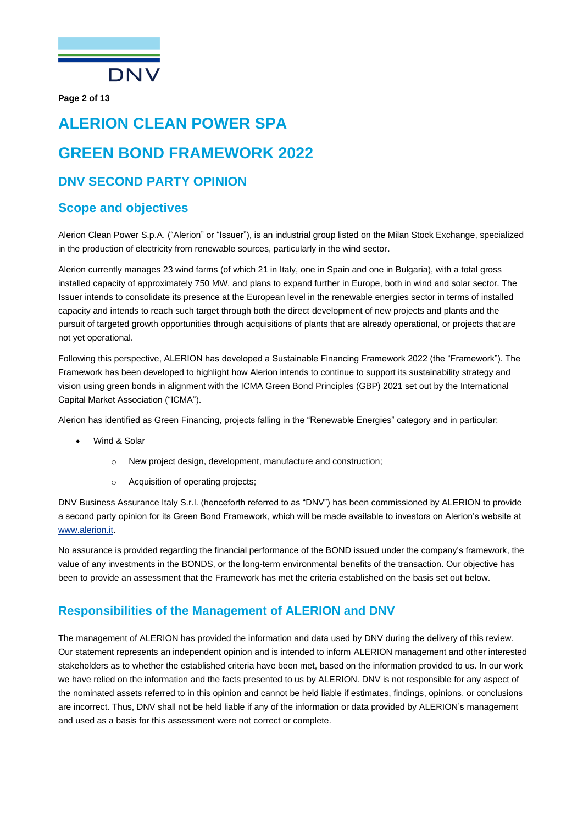

**Page 2 of 13**

# <span id="page-2-0"></span>**ALERION CLEAN POWER SPA GREEN BOND FRAMEWORK 2022 DNV SECOND PARTY OPINION**

### <span id="page-2-2"></span><span id="page-2-1"></span>**Scope and objectives**

Alerion Clean Power S.p.A. ("Alerion" or "Issuer"), is an industrial group listed on the Milan Stock Exchange, specialized in the production of electricity from renewable sources, particularly in the wind sector.

Alerion currently manages 23 wind farms (of which 21 in Italy, one in Spain and one in Bulgaria), with a total gross installed capacity of approximately 750 MW, and plans to expand further in Europe, both in wind and solar sector. The Issuer intends to consolidate its presence at the European level in the renewable energies sector in terms of installed capacity and intends to reach such target through both the direct development of new projects and plants and the pursuit of targeted growth opportunities through acquisitions of plants that are already operational, or projects that are not yet operational.

Following this perspective, ALERION has developed a Sustainable Financing Framework 2022 (the "Framework"). The Framework has been developed to highlight how Alerion intends to continue to support its sustainability strategy and vision using green bonds in alignment with the ICMA Green Bond Principles (GBP) 2021 set out by the International Capital Market Association ("ICMA").

Alerion has identified as Green Financing, projects falling in the "Renewable Energies" category and in particular:

- Wind & Solar
	- o New project design, development, manufacture and construction;
	- o Acquisition of operating projects;

DNV Business Assurance Italy S.r.l. (henceforth referred to as "DNV") has been commissioned by ALERION to provide a second party opinion for its Green Bond Framework, which will be made available to investors on Alerion's website at [www.alerion.it.](http://www.alerion.it/)

No assurance is provided regarding the financial performance of the BOND issued under the company's framework, the value of any investments in the BONDS, or the long-term environmental benefits of the transaction. Our objective has been to provide an assessment that the Framework has met the criteria established on the basis set out below.

### <span id="page-2-3"></span>**Responsibilities of the Management of ALERION and DNV**

The management of ALERION has provided the information and data used by DNV during the delivery of this review. Our statement represents an independent opinion and is intended to inform ALERION management and other interested stakeholders as to whether the established criteria have been met, based on the information provided to us. In our work we have relied on the information and the facts presented to us by ALERION. DNV is not responsible for any aspect of the nominated assets referred to in this opinion and cannot be held liable if estimates, findings, opinions, or conclusions are incorrect. Thus, DNV shall not be held liable if any of the information or data provided by ALERION's management and used as a basis for this assessment were not correct or complete.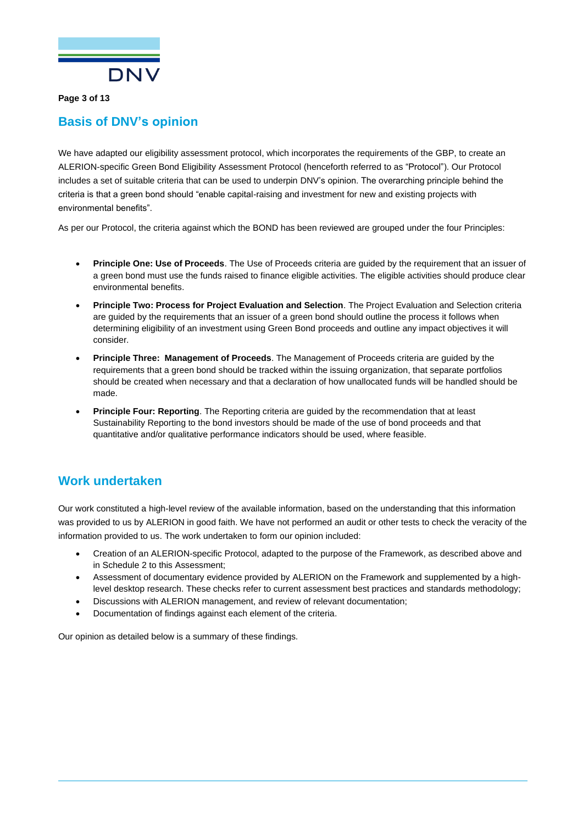

**Page 3 of 13**

### <span id="page-3-0"></span>**Basis of DNV's opinion**

We have adapted our eligibility assessment protocol, which incorporates the requirements of the GBP, to create an ALERION-specific Green Bond Eligibility Assessment Protocol (henceforth referred to as "Protocol"). Our Protocol includes a set of suitable criteria that can be used to underpin DNV's opinion. The overarching principle behind the criteria is that a green bond should "enable capital-raising and investment for new and existing projects with environmental benefits".

As per our Protocol, the criteria against which the BOND has been reviewed are grouped under the four Principles:

- **Principle One: Use of Proceeds**. The Use of Proceeds criteria are guided by the requirement that an issuer of a green bond must use the funds raised to finance eligible activities. The eligible activities should produce clear environmental benefits.
- **Principle Two: Process for Project Evaluation and Selection**. The Project Evaluation and Selection criteria are guided by the requirements that an issuer of a green bond should outline the process it follows when determining eligibility of an investment using Green Bond proceeds and outline any impact objectives it will consider.
- **Principle Three: Management of Proceeds**. The Management of Proceeds criteria are guided by the requirements that a green bond should be tracked within the issuing organization, that separate portfolios should be created when necessary and that a declaration of how unallocated funds will be handled should be made.
- **Principle Four: Reporting**. The Reporting criteria are guided by the recommendation that at least Sustainability Reporting to the bond investors should be made of the use of bond proceeds and that quantitative and/or qualitative performance indicators should be used, where feasible.

### <span id="page-3-1"></span>**Work undertaken**

Our work constituted a high-level review of the available information, based on the understanding that this information was provided to us by ALERION in good faith. We have not performed an audit or other tests to check the veracity of the information provided to us. The work undertaken to form our opinion included:

- Creation of an ALERION-specific Protocol, adapted to the purpose of the Framework, as described above and in Schedule 2 to this Assessment;
- Assessment of documentary evidence provided by ALERION on the Framework and supplemented by a highlevel desktop research. These checks refer to current assessment best practices and standards methodology;
- Discussions with ALERION management, and review of relevant documentation;
- Documentation of findings against each element of the criteria.

Our opinion as detailed below is a summary of these findings.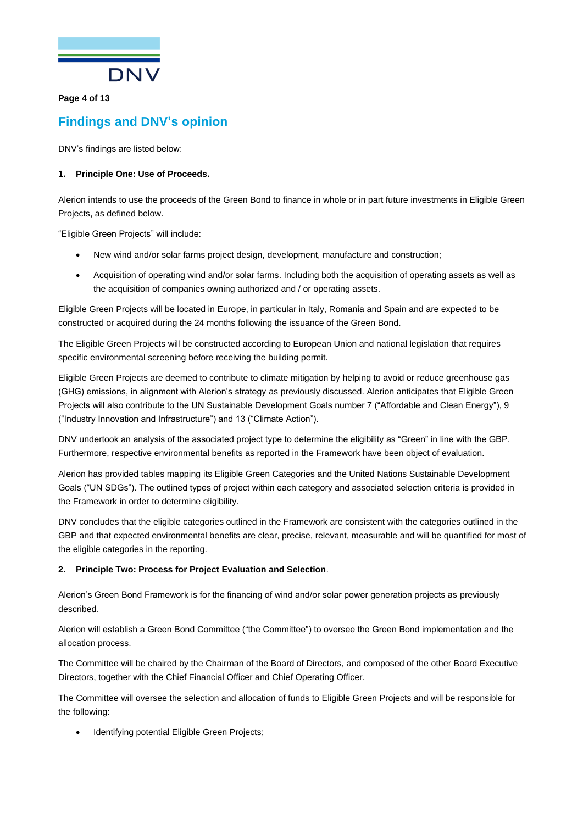

#### **Page 4 of 13**

### <span id="page-4-0"></span>**Findings and DNV's opinion**

DNV's findings are listed below:

#### **1. Principle One: Use of Proceeds.**

Alerion intends to use the proceeds of the Green Bond to finance in whole or in part future investments in Eligible Green Projects, as defined below.

"Eligible Green Projects" will include:

- New wind and/or solar farms project design, development, manufacture and construction;
- Acquisition of operating wind and/or solar farms. Including both the acquisition of operating assets as well as the acquisition of companies owning authorized and / or operating assets.

Eligible Green Projects will be located in Europe, in particular in Italy, Romania and Spain and are expected to be constructed or acquired during the 24 months following the issuance of the Green Bond.

The Eligible Green Projects will be constructed according to European Union and national legislation that requires specific environmental screening before receiving the building permit.

Eligible Green Projects are deemed to contribute to climate mitigation by helping to avoid or reduce greenhouse gas (GHG) emissions, in alignment with Alerion's strategy as previously discussed. Alerion anticipates that Eligible Green Projects will also contribute to the UN Sustainable Development Goals number 7 ("Affordable and Clean Energy"), 9 ("Industry Innovation and Infrastructure") and 13 ("Climate Action").

DNV undertook an analysis of the associated project type to determine the eligibility as "Green" in line with the GBP. Furthermore, respective environmental benefits as reported in the Framework have been object of evaluation.

Alerion has provided tables mapping its Eligible Green Categories and the United Nations Sustainable Development Goals ("UN SDGs"). The outlined types of project within each category and associated selection criteria is provided in the Framework in order to determine eligibility.

DNV concludes that the eligible categories outlined in the Framework are consistent with the categories outlined in the GBP and that expected environmental benefits are clear, precise, relevant, measurable and will be quantified for most of the eligible categories in the reporting.

#### **2. Principle Two: Process for Project Evaluation and Selection**.

Alerion's Green Bond Framework is for the financing of wind and/or solar power generation projects as previously described.

Alerion will establish a Green Bond Committee ("the Committee") to oversee the Green Bond implementation and the allocation process.

The Committee will be chaired by the Chairman of the Board of Directors, and composed of the other Board Executive Directors, together with the Chief Financial Officer and Chief Operating Officer.

The Committee will oversee the selection and allocation of funds to Eligible Green Projects and will be responsible for the following:

Identifying potential Eligible Green Projects;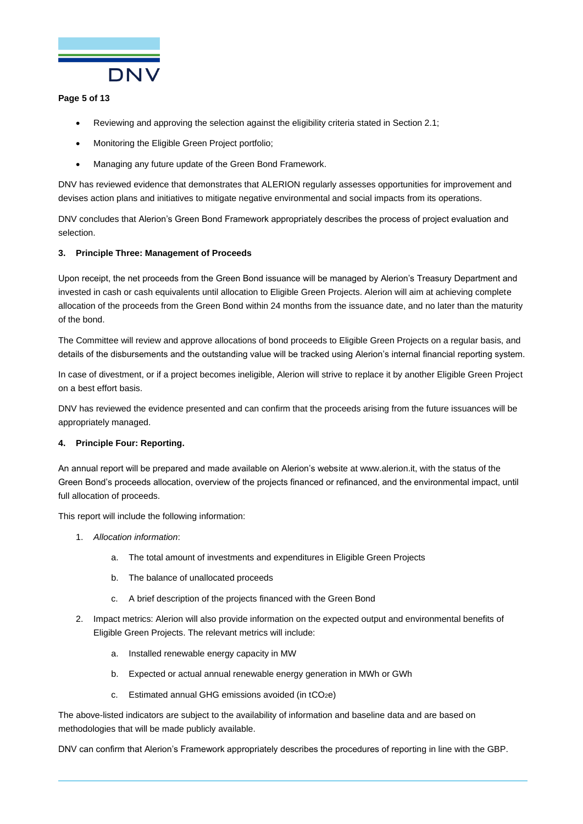

#### **Page 5 of 13**

- Reviewing and approving the selection against the eligibility criteria stated in Section 2.1;
- Monitoring the Eligible Green Project portfolio;
- Managing any future update of the Green Bond Framework.

DNV has reviewed evidence that demonstrates that ALERION regularly assesses opportunities for improvement and devises action plans and initiatives to mitigate negative environmental and social impacts from its operations.

DNV concludes that Alerion's Green Bond Framework appropriately describes the process of project evaluation and selection.

#### **3. Principle Three: Management of Proceeds**

Upon receipt, the net proceeds from the Green Bond issuance will be managed by Alerion's Treasury Department and invested in cash or cash equivalents until allocation to Eligible Green Projects. Alerion will aim at achieving complete allocation of the proceeds from the Green Bond within 24 months from the issuance date, and no later than the maturity of the bond.

The Committee will review and approve allocations of bond proceeds to Eligible Green Projects on a regular basis, and details of the disbursements and the outstanding value will be tracked using Alerion's internal financial reporting system.

In case of divestment, or if a project becomes ineligible, Alerion will strive to replace it by another Eligible Green Project on a best effort basis.

DNV has reviewed the evidence presented and can confirm that the proceeds arising from the future issuances will be appropriately managed.

#### **4. Principle Four: Reporting.**

An annual report will be prepared and made available on Alerion's website at www.alerion.it, with the status of the Green Bond's proceeds allocation, overview of the projects financed or refinanced, and the environmental impact, until full allocation of proceeds.

This report will include the following information:

- 1. *Allocation information*:
	- a. The total amount of investments and expenditures in Eligible Green Projects
	- b. The balance of unallocated proceeds
	- c. A brief description of the projects financed with the Green Bond
- 2. Impact metrics: Alerion will also provide information on the expected output and environmental benefits of Eligible Green Projects. The relevant metrics will include:
	- a. Installed renewable energy capacity in MW
	- b. Expected or actual annual renewable energy generation in MWh or GWh
	- c. Estimated annual GHG emissions avoided (in  $tCO<sub>2</sub>e$ )

The above-listed indicators are subject to the availability of information and baseline data and are based on methodologies that will be made publicly available.

DNV can confirm that Alerion's Framework appropriately describes the procedures of reporting in line with the GBP.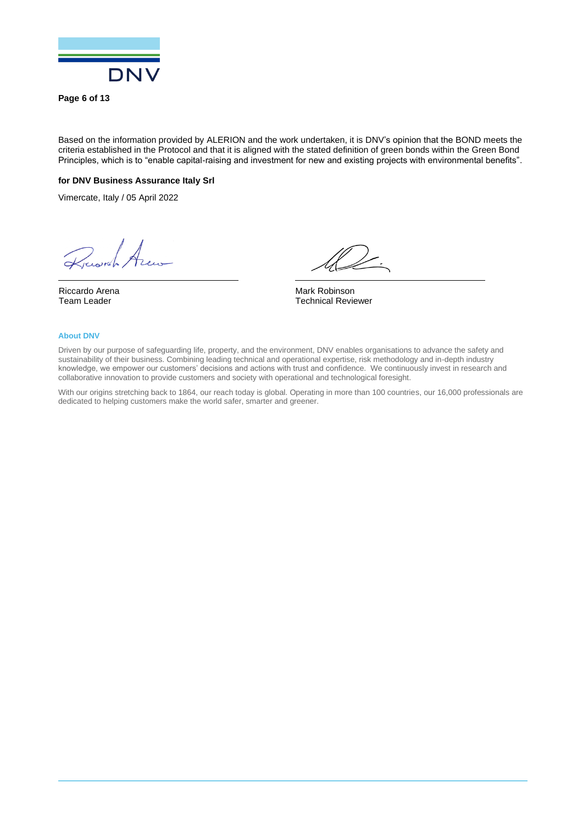

**Page 6 of 13**

Based on the information provided by ALERION and the work undertaken, it is DNV's opinion that the BOND meets the criteria established in the Protocol and that it is aligned with the stated definition of green bonds within the Green Bond Principles, which is to "enable capital-raising and investment for new and existing projects with environmental benefits".

#### **for DNV Business Assurance Italy Srl**

Vimercate, Italy / 05 April 2022

Russel Arew

Riccardo Arena Team Leader

Mark Robinson Technical Reviewer

#### **About DNV**

Driven by our purpose of safeguarding life, property, and the environment, DNV enables organisations to advance the safety and sustainability of their business. Combining leading technical and operational expertise, risk methodology and in-depth industry knowledge, we empower our customers' decisions and actions with trust and confidence. We continuously invest in research and collaborative innovation to provide customers and society with operational and technological foresight.

With our origins stretching back to 1864, our reach today is global. Operating in more than 100 countries, our 16,000 professionals are dedicated to helping customers make the world safer, smarter and greener.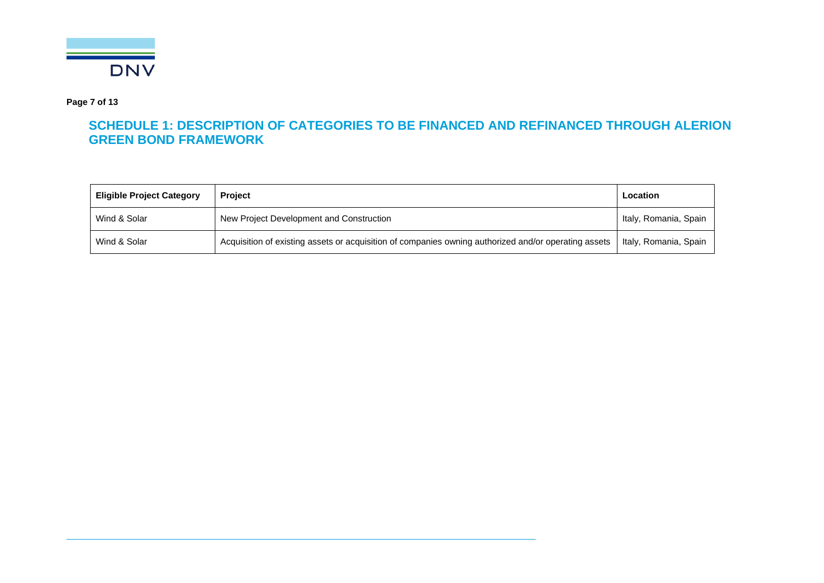

**Page 7 of 13**

## **SCHEDULE 1: DESCRIPTION OF CATEGORIES TO BE FINANCED AND REFINANCED THROUGH ALERION GREEN BOND FRAMEWORK**

<span id="page-7-0"></span>

| <b>Eligible Project Category</b> | <b>Project</b>                                                                                       | Location              |
|----------------------------------|------------------------------------------------------------------------------------------------------|-----------------------|
| Wind & Solar                     | New Project Development and Construction                                                             | Italy, Romania, Spain |
| Wind & Solar                     | Acquisition of existing assets or acquisition of companies owning authorized and/or operating assets | Italy, Romania, Spain |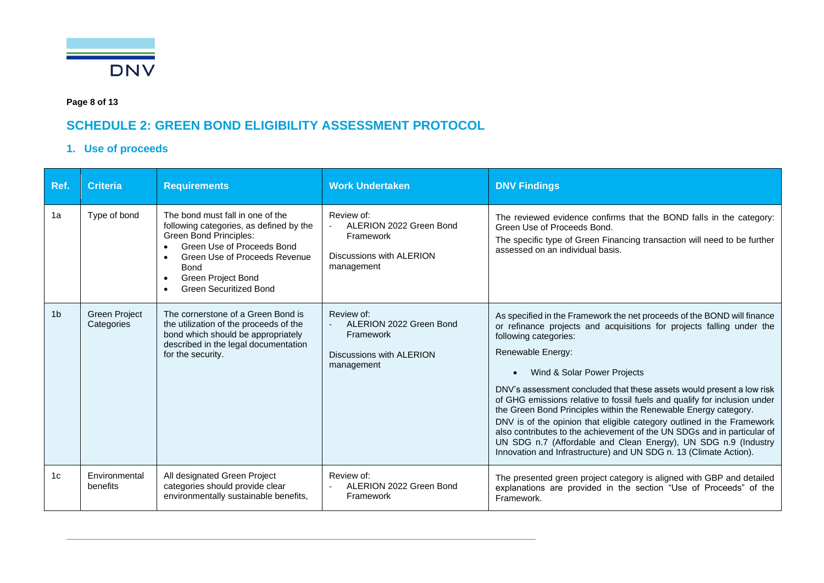

**Page 8 of 13**

## **SCHEDULE 2: GREEN BOND ELIGIBILITY ASSESSMENT PROTOCOL**

### **1. Use of proceeds**

<span id="page-8-1"></span><span id="page-8-0"></span>

| Ref.           | <b>Criteria</b>                    | <b>Requirements</b>                                                                                                                                                                                                                                                   | <b>Work Undertaken</b>                                                                       | <b>DNV Findings</b>                                                                                                                                                                                                                                                                                                                                                                                                                                                                                                                                                                                                                                                                                                                                |
|----------------|------------------------------------|-----------------------------------------------------------------------------------------------------------------------------------------------------------------------------------------------------------------------------------------------------------------------|----------------------------------------------------------------------------------------------|----------------------------------------------------------------------------------------------------------------------------------------------------------------------------------------------------------------------------------------------------------------------------------------------------------------------------------------------------------------------------------------------------------------------------------------------------------------------------------------------------------------------------------------------------------------------------------------------------------------------------------------------------------------------------------------------------------------------------------------------------|
| 1a             | Type of bond                       | The bond must fall in one of the<br>following categories, as defined by the<br><b>Green Bond Principles:</b><br>Green Use of Proceeds Bond<br>Green Use of Proceeds Revenue<br><b>Bond</b><br><b>Green Project Bond</b><br>$\bullet$<br><b>Green Securitized Bond</b> | Review of:<br>ALERION 2022 Green Bond<br>Framework<br>Discussions with ALERION<br>management | The reviewed evidence confirms that the BOND falls in the category:<br>Green Use of Proceeds Bond.<br>The specific type of Green Financing transaction will need to be further<br>assessed on an individual basis.                                                                                                                                                                                                                                                                                                                                                                                                                                                                                                                                 |
| 1 <sub>b</sub> | <b>Green Project</b><br>Categories | The cornerstone of a Green Bond is<br>the utilization of the proceeds of the<br>bond which should be appropriately<br>described in the legal documentation<br>for the security.                                                                                       | Review of:<br>ALERION 2022 Green Bond<br>Framework<br>Discussions with ALERION<br>management | As specified in the Framework the net proceeds of the BOND will finance<br>or refinance projects and acquisitions for projects falling under the<br>following categories:<br>Renewable Energy:<br>Wind & Solar Power Projects<br>DNV's assessment concluded that these assets would present a low risk<br>of GHG emissions relative to fossil fuels and qualify for inclusion under<br>the Green Bond Principles within the Renewable Energy category.<br>DNV is of the opinion that eligible category outlined in the Framework<br>also contributes to the achievement of the UN SDGs and in particular of<br>UN SDG n.7 (Affordable and Clean Energy), UN SDG n.9 (Industry<br>Innovation and Infrastructure) and UN SDG n. 13 (Climate Action). |
| 1c             | Environmental<br>benefits          | All designated Green Project<br>categories should provide clear<br>environmentally sustainable benefits,                                                                                                                                                              | Review of:<br>ALERION 2022 Green Bond<br>Framework                                           | The presented green project category is aligned with GBP and detailed<br>explanations are provided in the section "Use of Proceeds" of the<br>Framework.                                                                                                                                                                                                                                                                                                                                                                                                                                                                                                                                                                                           |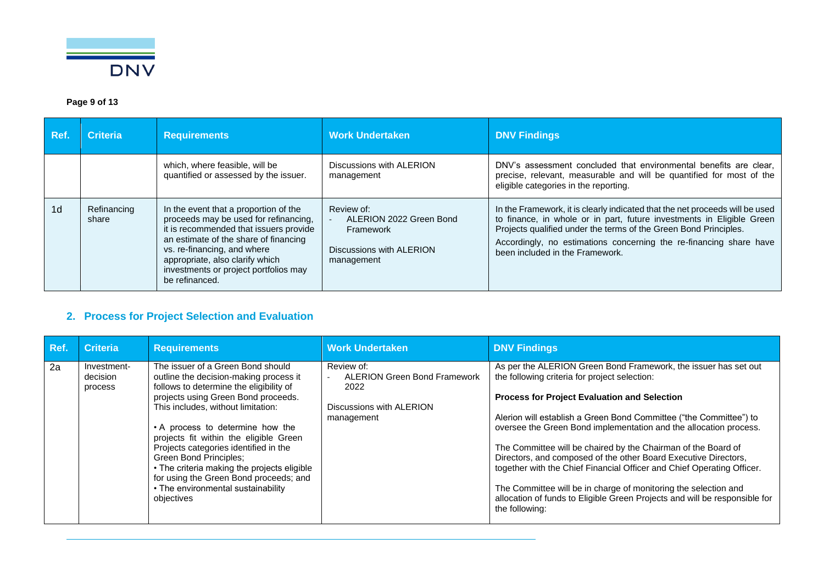

### **Page 9 of 13**

| Ref.           | <b>Criteria</b>      | <b>Requirements</b>                                                                                                                                                                                                                                                                            | <b>Work Undertaken</b>                                                                       | <b>DNV Findings</b>                                                                                                                                                                                                                                                                                                                |
|----------------|----------------------|------------------------------------------------------------------------------------------------------------------------------------------------------------------------------------------------------------------------------------------------------------------------------------------------|----------------------------------------------------------------------------------------------|------------------------------------------------------------------------------------------------------------------------------------------------------------------------------------------------------------------------------------------------------------------------------------------------------------------------------------|
|                |                      | which, where feasible, will be<br>quantified or assessed by the issuer.                                                                                                                                                                                                                        | Discussions with ALERION<br>management                                                       | DNV's assessment concluded that environmental benefits are clear,<br>precise, relevant, measurable and will be quantified for most of the<br>eligible categories in the reporting.                                                                                                                                                 |
| 1 <sub>d</sub> | Refinancing<br>share | In the event that a proportion of the<br>proceeds may be used for refinancing,<br>it is recommended that issuers provide<br>an estimate of the share of financing<br>vs. re-financing, and where<br>appropriate, also clarify which<br>investments or project portfolios may<br>be refinanced. | Review of:<br>ALERION 2022 Green Bond<br>Framework<br>Discussions with ALERION<br>management | In the Framework, it is clearly indicated that the net proceeds will be used<br>to finance, in whole or in part, future investments in Eligible Green<br>Projects qualified under the terms of the Green Bond Principles.<br>Accordingly, no estimations concerning the re-financing share have<br>been included in the Framework. |

### **2. Process for Project Selection and Evaluation**

<span id="page-9-0"></span>

| Ref. | <b>Criteria</b>                    | <b>Requirements</b>                                                                                                                                                                                                                                                                                                                                                                                                                                                                               | <b>Work Undertaken</b>                                                                              | <b>DNV Findings</b>                                                                                                                                                                                                                                                                                                                                                                                                                                                                                                                                                                                                                                                                                 |
|------|------------------------------------|---------------------------------------------------------------------------------------------------------------------------------------------------------------------------------------------------------------------------------------------------------------------------------------------------------------------------------------------------------------------------------------------------------------------------------------------------------------------------------------------------|-----------------------------------------------------------------------------------------------------|-----------------------------------------------------------------------------------------------------------------------------------------------------------------------------------------------------------------------------------------------------------------------------------------------------------------------------------------------------------------------------------------------------------------------------------------------------------------------------------------------------------------------------------------------------------------------------------------------------------------------------------------------------------------------------------------------------|
| 2a   | Investment-<br>decision<br>process | The issuer of a Green Bond should<br>outline the decision-making process it<br>follows to determine the eligibility of<br>projects using Green Bond proceeds.<br>This includes, without limitation:<br>• A process to determine how the<br>projects fit within the eligible Green<br>Projects categories identified in the<br>Green Bond Principles;<br>• The criteria making the projects eligible<br>for using the Green Bond proceeds; and<br>• The environmental sustainability<br>objectives | Review of:<br><b>ALERION Green Bond Framework</b><br>2022<br>Discussions with ALERION<br>management | As per the ALERION Green Bond Framework, the issuer has set out<br>the following criteria for project selection:<br><b>Process for Project Evaluation and Selection</b><br>Alerion will establish a Green Bond Committee ("the Committee") to<br>oversee the Green Bond implementation and the allocation process.<br>The Committee will be chaired by the Chairman of the Board of<br>Directors, and composed of the other Board Executive Directors,<br>together with the Chief Financial Officer and Chief Operating Officer.<br>The Committee will be in charge of monitoring the selection and<br>allocation of funds to Eligible Green Projects and will be responsible for<br>the following: |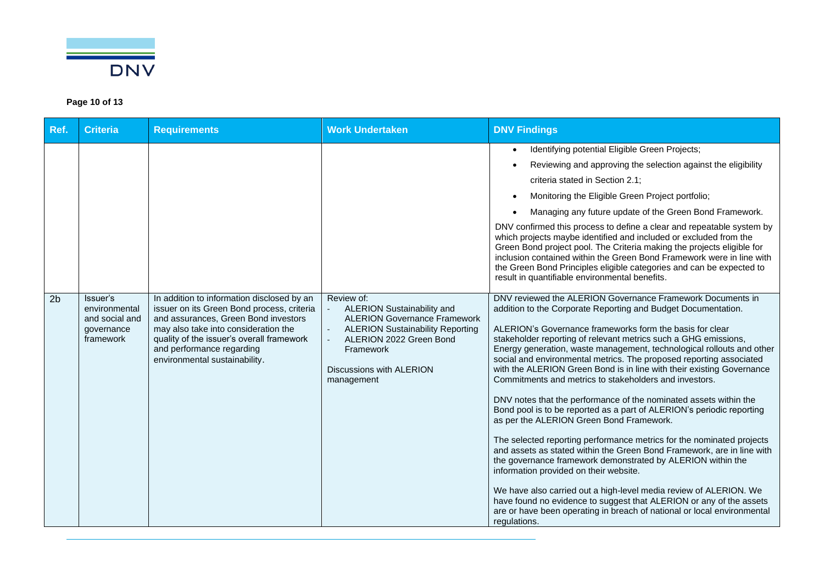

### **Page 10 of 13**

| Ref.           | <b>Criteria</b>                                                        | <b>Requirements</b>                                                                                                                                                                                                                                                                 | <b>Work Undertaken</b>                                                                                                                                                                                              | <b>DNV Findings</b>                                                                                                                                                                                                                                                                                                                                                                                                                                                                                                                                                                                                                                                                                                                                                                                                                                                                                                                                                                                                                                                                                                                                                                                                                        |
|----------------|------------------------------------------------------------------------|-------------------------------------------------------------------------------------------------------------------------------------------------------------------------------------------------------------------------------------------------------------------------------------|---------------------------------------------------------------------------------------------------------------------------------------------------------------------------------------------------------------------|--------------------------------------------------------------------------------------------------------------------------------------------------------------------------------------------------------------------------------------------------------------------------------------------------------------------------------------------------------------------------------------------------------------------------------------------------------------------------------------------------------------------------------------------------------------------------------------------------------------------------------------------------------------------------------------------------------------------------------------------------------------------------------------------------------------------------------------------------------------------------------------------------------------------------------------------------------------------------------------------------------------------------------------------------------------------------------------------------------------------------------------------------------------------------------------------------------------------------------------------|
|                |                                                                        |                                                                                                                                                                                                                                                                                     |                                                                                                                                                                                                                     | Identifying potential Eligible Green Projects;<br>Reviewing and approving the selection against the eligibility<br>criteria stated in Section 2.1;<br>Monitoring the Eligible Green Project portfolio;<br>Managing any future update of the Green Bond Framework.<br>DNV confirmed this process to define a clear and repeatable system by<br>which projects maybe identified and included or excluded from the<br>Green Bond project pool. The Criteria making the projects eligible for<br>inclusion contained within the Green Bond Framework were in line with<br>the Green Bond Principles eligible categories and can be expected to<br>result in quantifiable environmental benefits.                                                                                                                                                                                                                                                                                                                                                                                                                                                                                                                                               |
| 2 <sub>b</sub> | Issuer's<br>environmental<br>and social and<br>governance<br>framework | In addition to information disclosed by an<br>issuer on its Green Bond process, criteria<br>and assurances, Green Bond investors<br>may also take into consideration the<br>quality of the issuer's overall framework<br>and performance regarding<br>environmental sustainability. | Review of:<br><b>ALERION Sustainability and</b><br><b>ALERION Governance Framework</b><br><b>ALERION Sustainability Reporting</b><br>ALERION 2022 Green Bond<br>Framework<br>Discussions with ALERION<br>management | DNV reviewed the ALERION Governance Framework Documents in<br>addition to the Corporate Reporting and Budget Documentation.<br>ALERION's Governance frameworks form the basis for clear<br>stakeholder reporting of relevant metrics such a GHG emissions,<br>Energy generation, waste management, technological rollouts and other<br>social and environmental metrics. The proposed reporting associated<br>with the ALERION Green Bond is in line with their existing Governance<br>Commitments and metrics to stakeholders and investors.<br>DNV notes that the performance of the nominated assets within the<br>Bond pool is to be reported as a part of ALERION's periodic reporting<br>as per the ALERION Green Bond Framework.<br>The selected reporting performance metrics for the nominated projects<br>and assets as stated within the Green Bond Framework, are in line with<br>the governance framework demonstrated by ALERION within the<br>information provided on their website.<br>We have also carried out a high-level media review of ALERION. We<br>have found no evidence to suggest that ALERION or any of the assets<br>are or have been operating in breach of national or local environmental<br>regulations. |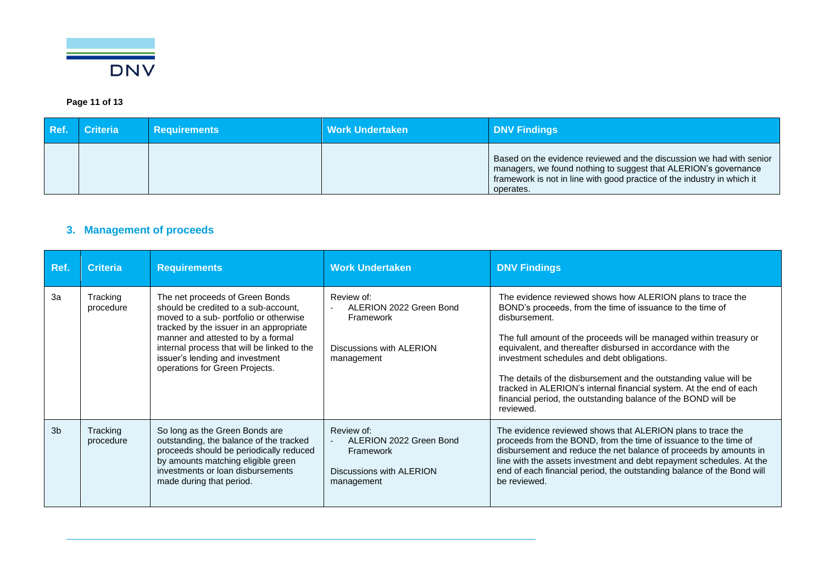

### **Page 11 of 13**

| Ref. | Criteria | <b>Requirements</b> | Work Undertaken | <b>DNV Findings</b>                                                                                                                                                                                                             |
|------|----------|---------------------|-----------------|---------------------------------------------------------------------------------------------------------------------------------------------------------------------------------------------------------------------------------|
|      |          |                     |                 | Based on the evidence reviewed and the discussion we had with senior<br>managers, we found nothing to suggest that ALERION's governance<br>framework is not in line with good practice of the industry in which it<br>operates. |

# **3. Management of proceeds**

<span id="page-11-0"></span>

| Ref.           | <b>Criteria</b>       | <b>Requirements</b>                                                                                                                                                                                                                                                                                                    | <b>Work Undertaken</b>                                                                                 | <b>DNV Findings</b>                                                                                                                                                                                                                                                                                                                                                                                                                                                                                                                                  |
|----------------|-----------------------|------------------------------------------------------------------------------------------------------------------------------------------------------------------------------------------------------------------------------------------------------------------------------------------------------------------------|--------------------------------------------------------------------------------------------------------|------------------------------------------------------------------------------------------------------------------------------------------------------------------------------------------------------------------------------------------------------------------------------------------------------------------------------------------------------------------------------------------------------------------------------------------------------------------------------------------------------------------------------------------------------|
| 3a             | Tracking<br>procedure | The net proceeds of Green Bonds<br>should be credited to a sub-account,<br>moved to a sub- portfolio or otherwise<br>tracked by the issuer in an appropriate<br>manner and attested to by a formal<br>internal process that will be linked to the<br>issuer's lending and investment<br>operations for Green Projects. | Review of:<br>ALERION 2022 Green Bond<br>Framework<br>Discussions with ALERION<br>management           | The evidence reviewed shows how ALERION plans to trace the<br>BOND's proceeds, from the time of issuance to the time of<br>disbursement.<br>The full amount of the proceeds will be managed within treasury or<br>equivalent, and thereafter disbursed in accordance with the<br>investment schedules and debt obligations.<br>The details of the disbursement and the outstanding value will be<br>tracked in ALERION's internal financial system. At the end of each<br>financial period, the outstanding balance of the BOND will be<br>reviewed. |
| 3 <sub>b</sub> | Tracking<br>procedure | So long as the Green Bonds are<br>outstanding, the balance of the tracked<br>proceeds should be periodically reduced<br>by amounts matching eligible green<br>investments or loan disbursements<br>made during that period.                                                                                            | Review of:<br>ALERION 2022 Green Bond<br>$\sim$<br>Framework<br>Discussions with ALERION<br>management | The evidence reviewed shows that ALERION plans to trace the<br>proceeds from the BOND, from the time of issuance to the time of<br>disbursement and reduce the net balance of proceeds by amounts in<br>line with the assets investment and debt repayment schedules. At the<br>end of each financial period, the outstanding balance of the Bond will<br>be reviewed.                                                                                                                                                                               |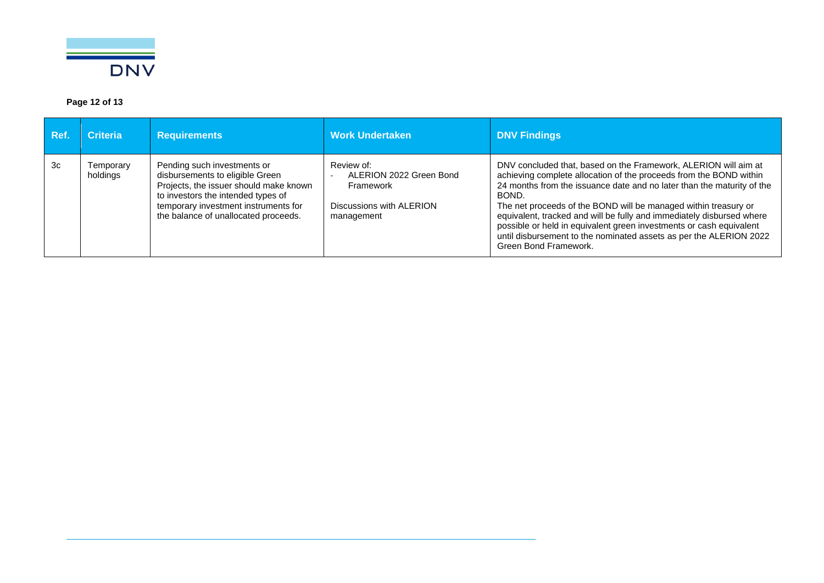

### **Page 12 of 13**

| Ref. | <b>Criteria</b>       | <b>Requirements</b>                                                                                                                                                                                                            | <b>Work Undertaken</b>                                                                       | <b>DNV Findings</b>                                                                                                                                                                                                                                                                                                                                                                                                                                                                                                                        |
|------|-----------------------|--------------------------------------------------------------------------------------------------------------------------------------------------------------------------------------------------------------------------------|----------------------------------------------------------------------------------------------|--------------------------------------------------------------------------------------------------------------------------------------------------------------------------------------------------------------------------------------------------------------------------------------------------------------------------------------------------------------------------------------------------------------------------------------------------------------------------------------------------------------------------------------------|
| 3c   | Temporary<br>holdings | Pending such investments or<br>disbursements to eligible Green<br>Projects, the issuer should make known<br>to investors the intended types of<br>temporary investment instruments for<br>the balance of unallocated proceeds. | Review of:<br>ALERION 2022 Green Bond<br>Framework<br>Discussions with ALERION<br>management | DNV concluded that, based on the Framework, ALERION will aim at<br>achieving complete allocation of the proceeds from the BOND within<br>24 months from the issuance date and no later than the maturity of the<br>BOND.<br>The net proceeds of the BOND will be managed within treasury or<br>equivalent, tracked and will be fully and immediately disbursed where<br>possible or held in equivalent green investments or cash equivalent<br>until disbursement to the nominated assets as per the ALERION 2022<br>Green Bond Framework. |